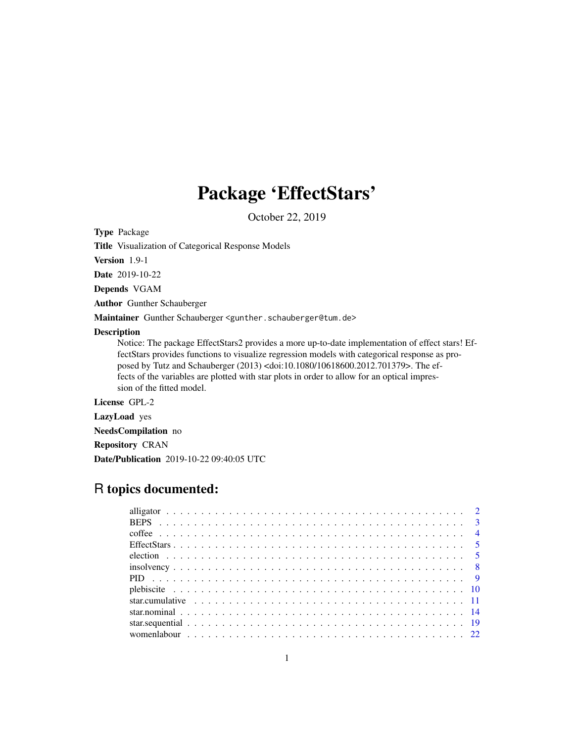## Package 'EffectStars'

October 22, 2019

<span id="page-0-0"></span>Type Package

Title Visualization of Categorical Response Models

Version 1.9-1

Date 2019-10-22

Depends VGAM

Author Gunther Schauberger

Maintainer Gunther Schauberger <gunther.schauberger@tum.de>

#### Description

Notice: The package EffectStars2 provides a more up-to-date implementation of effect stars! EffectStars provides functions to visualize regression models with categorical response as proposed by Tutz and Schauberger (2013) <doi:10.1080/10618600.2012.701379>. The effects of the variables are plotted with star plots in order to allow for an optical impression of the fitted model.

License GPL-2

LazyLoad yes

NeedsCompilation no

Repository CRAN

Date/Publication 2019-10-22 09:40:05 UTC

## R topics documented: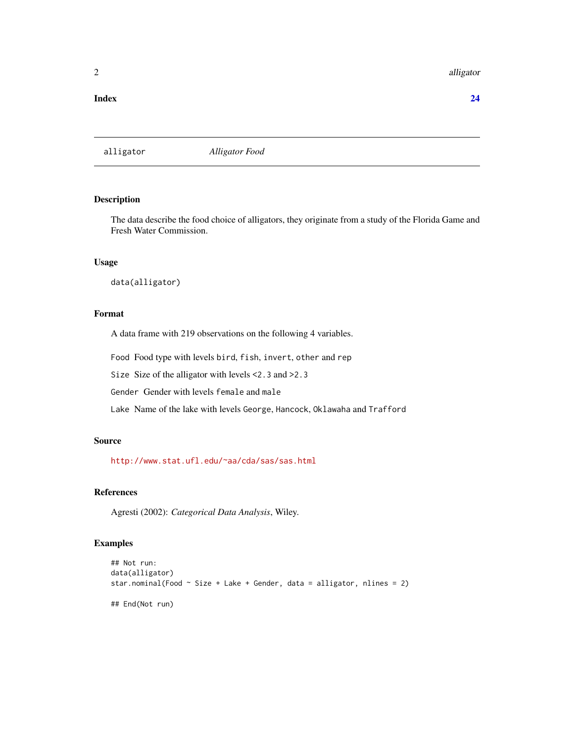#### <span id="page-1-0"></span>2 alligator and the contract of the contract of the contract of the contract of the contract of the contract of the contract of the contract of the contract of the contract of the contract of the contract of the contract o

#### **Index** [24](#page-23-0)

alligator *Alligator Food*

## Description

The data describe the food choice of alligators, they originate from a study of the Florida Game and Fresh Water Commission.

## Usage

data(alligator)

## Format

A data frame with 219 observations on the following 4 variables.

Food Food type with levels bird, fish, invert, other and rep

Size Size of the alligator with levels <2.3 and >2.3

Gender Gender with levels female and male

Lake Name of the lake with levels George, Hancock, Oklawaha and Trafford

## Source

<http://www.stat.ufl.edu/~aa/cda/sas/sas.html>

## References

Agresti (2002): *Categorical Data Analysis*, Wiley.

#### Examples

```
## Not run:
data(alligator)
star.nominal(Food \sim Size + Lake + Gender, data = alligator, nlines = 2)
## End(Not run)
```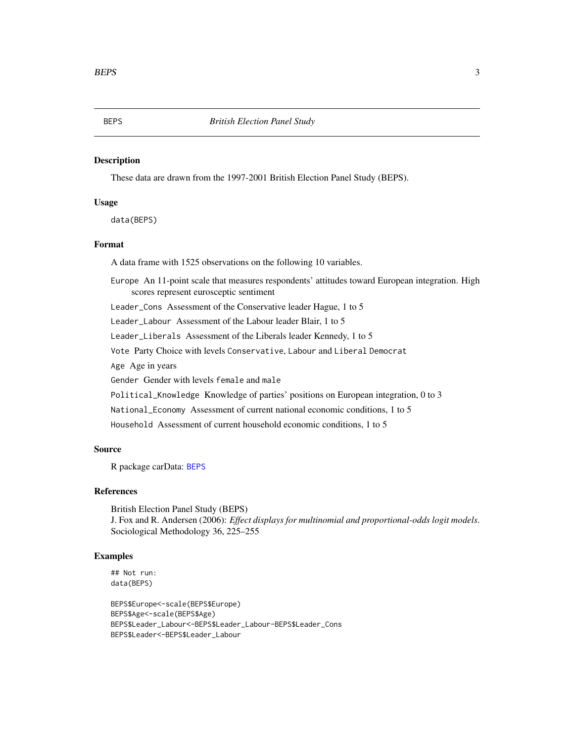## <span id="page-2-1"></span><span id="page-2-0"></span>Description

These data are drawn from the 1997-2001 British Election Panel Study (BEPS).

## Usage

data(BEPS)

## Format

A data frame with 1525 observations on the following 10 variables.

Europe An 11-point scale that measures respondents' attitudes toward European integration. High scores represent eurosceptic sentiment

Leader\_Cons Assessment of the Conservative leader Hague, 1 to 5

Leader\_Labour Assessment of the Labour leader Blair, 1 to 5

Leader\_Liberals Assessment of the Liberals leader Kennedy, 1 to 5

Vote Party Choice with levels Conservative, Labour and Liberal Democrat

Age Age in years

Gender Gender with levels female and male

Political\_Knowledge Knowledge of parties' positions on European integration, 0 to 3

National\_Economy Assessment of current national economic conditions, 1 to 5

Household Assessment of current household economic conditions, 1 to 5

## Source

R package carData: [BEPS](#page-2-1)

## References

British Election Panel Study (BEPS) J. Fox and R. Andersen (2006): *Effect displays for multinomial and proportional-odds logit models*. Sociological Methodology 36, 225–255

## Examples

```
## Not run:
data(BEPS)
```
BEPS\$Europe<-scale(BEPS\$Europe) BEPS\$Age<-scale(BEPS\$Age) BEPS\$Leader\_Labour<-BEPS\$Leader\_Labour-BEPS\$Leader\_Cons BEPS\$Leader<-BEPS\$Leader\_Labour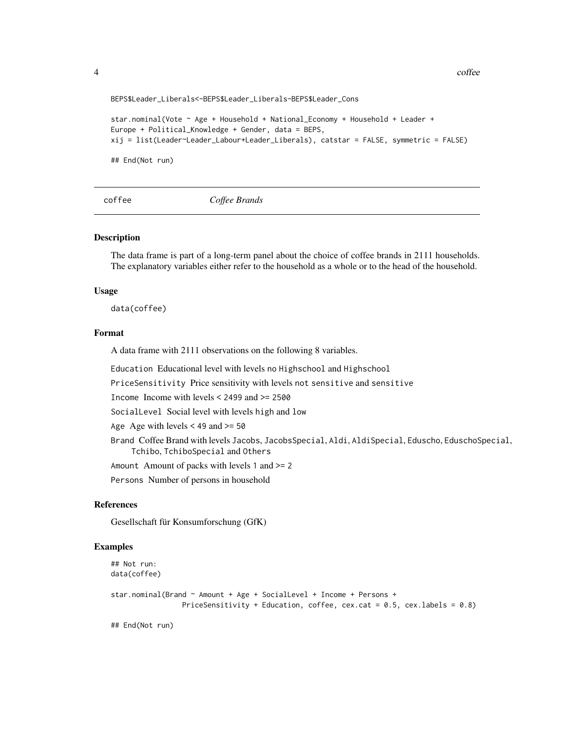4 coffee contract to the contract of the contract of the contract of the contract of the contract of the contract of the contract of the contract of the contract of the contract of the contract of the contract of the contr

BEPS\$Leader\_Liberals<-BEPS\$Leader\_Liberals-BEPS\$Leader\_Cons

```
star.nominal(Vote ~ Age + Household + National_Economy + Household + Leader +
Europe + Political_Knowledge + Gender, data = BEPS,
xij = list(Leader~Leader_Labour+Leader_Liberals), catstar = FALSE, symmetric = FALSE)
## End(Not run)
```
coffee *Coffee Brands*

## Description

The data frame is part of a long-term panel about the choice of coffee brands in 2111 households. The explanatory variables either refer to the household as a whole or to the head of the household.

#### Usage

data(coffee)

#### Format

A data frame with 2111 observations on the following 8 variables.

Education Educational level with levels no Highschool and Highschool

PriceSensitivity Price sensitivity with levels not sensitive and sensitive

Income Income with levels < 2499 and >= 2500

SocialLevel Social level with levels high and low

Age Age with levels  $< 49$  and  $>= 50$ 

Brand Coffee Brand with levels Jacobs, JacobsSpecial, Aldi, AldiSpecial, Eduscho, EduschoSpecial, Tchibo, TchiboSpecial and Others

Amount Amount of packs with levels 1 and >= 2

Persons Number of persons in household

## References

Gesellschaft für Konsumforschung (GfK)

## Examples

```
## Not run:
data(coffee)
star.nominal(Brand ~ Amount + Age + SocialLevel + Income + Persons +
                 PriceSensitivity + Education, coffee, cex.cat = 0.5, cex.labels = 0.8)
```
## End(Not run)

<span id="page-3-0"></span>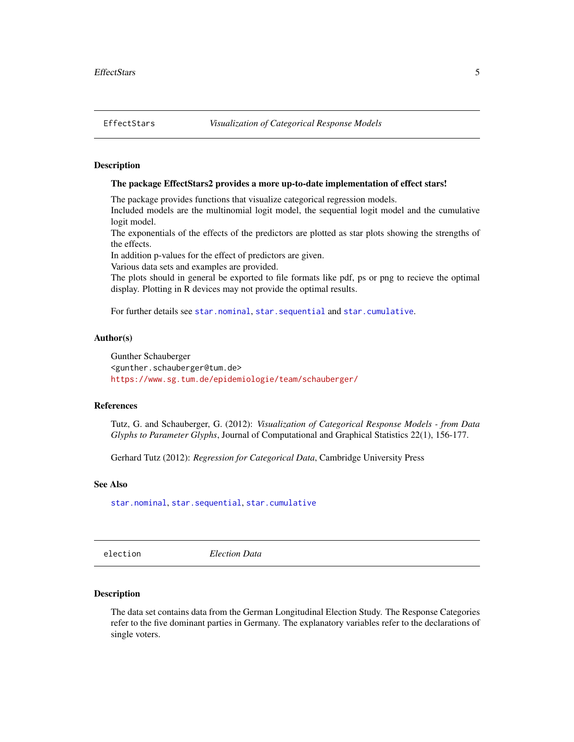## <span id="page-4-0"></span>**Description**

## The package EffectStars2 provides a more up-to-date implementation of effect stars!

The package provides functions that visualize categorical regression models.

Included models are the multinomial logit model, the sequential logit model and the cumulative logit model.

The exponentials of the effects of the predictors are plotted as star plots showing the strengths of the effects.

In addition p-values for the effect of predictors are given.

Various data sets and examples are provided.

The plots should in general be exported to file formats like pdf, ps or png to recieve the optimal display. Plotting in R devices may not provide the optimal results.

For further details see [star.nominal](#page-13-1), [star.sequential](#page-18-1) and [star.cumulative](#page-10-1).

## Author(s)

Gunther Schauberger <gunther.schauberger@tum.de> <https://www.sg.tum.de/epidemiologie/team/schauberger/>

#### References

Tutz, G. and Schauberger, G. (2012): *Visualization of Categorical Response Models - from Data Glyphs to Parameter Glyphs*, Journal of Computational and Graphical Statistics 22(1), 156-177.

Gerhard Tutz (2012): *Regression for Categorical Data*, Cambridge University Press

#### See Also

[star.nominal](#page-13-1), [star.sequential](#page-18-1), [star.cumulative](#page-10-1)

election *Election Data*

#### **Description**

The data set contains data from the German Longitudinal Election Study. The Response Categories refer to the five dominant parties in Germany. The explanatory variables refer to the declarations of single voters.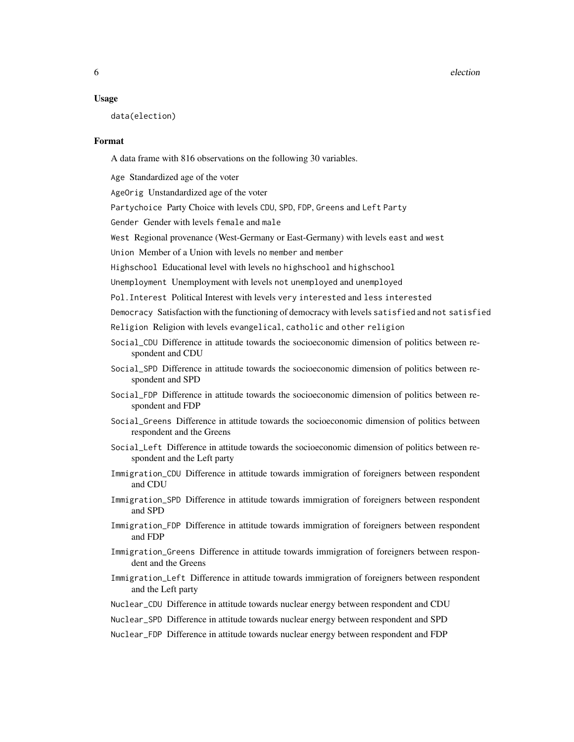6 election and the contract of the contract of the contract of the contract of the contract of the contract of the contract of the contract of the contract of the contract of the contract of the contract of the contract of

#### Usage

data(election)

## Format

A data frame with 816 observations on the following 30 variables.

Age Standardized age of the voter

AgeOrig Unstandardized age of the voter

Partychoice Party Choice with levels CDU, SPD, FDP, Greens and Left Party

Gender Gender with levels female and male

West Regional provenance (West-Germany or East-Germany) with levels east and west

Union Member of a Union with levels no member and member

Highschool Educational level with levels no highschool and highschool

Unemployment Unemployment with levels not unemployed and unemployed

Pol.Interest Political Interest with levels very interested and less interested

Democracy Satisfaction with the functioning of democracy with levels satisfied and not satisfied

Religion Religion with levels evangelical, catholic and other religion

- Social\_CDU Difference in attitude towards the socioeconomic dimension of politics between respondent and CDU
- Social\_SPD Difference in attitude towards the socioeconomic dimension of politics between respondent and SPD
- Social\_FDP Difference in attitude towards the socioeconomic dimension of politics between respondent and FDP
- Social\_Greens Difference in attitude towards the socioeconomic dimension of politics between respondent and the Greens
- Social\_Left Difference in attitude towards the socioeconomic dimension of politics between respondent and the Left party
- Immigration\_CDU Difference in attitude towards immigration of foreigners between respondent and CDU
- Immigration\_SPD Difference in attitude towards immigration of foreigners between respondent and SPD
- Immigration\_FDP Difference in attitude towards immigration of foreigners between respondent and FDP
- Immigration\_Greens Difference in attitude towards immigration of foreigners between respondent and the Greens
- Immigration\_Left Difference in attitude towards immigration of foreigners between respondent and the Left party
- Nuclear\_CDU Difference in attitude towards nuclear energy between respondent and CDU
- Nuclear\_SPD Difference in attitude towards nuclear energy between respondent and SPD
- Nuclear\_FDP Difference in attitude towards nuclear energy between respondent and FDP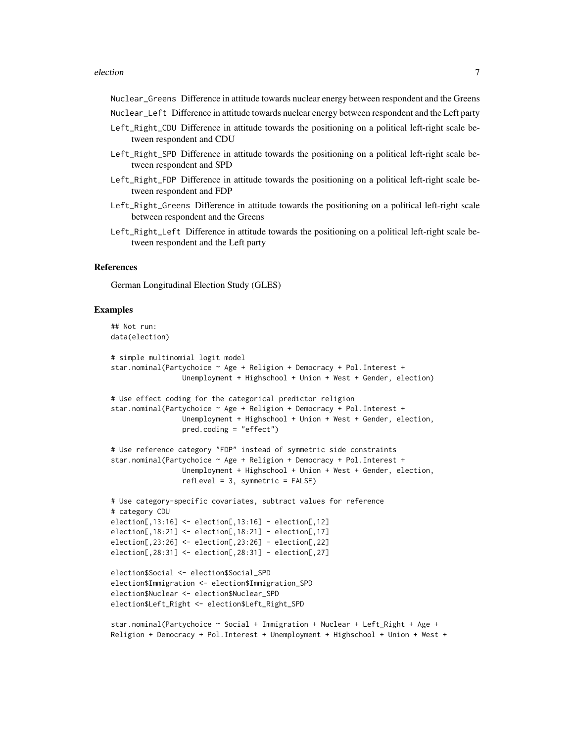#### election 7

Nuclear\_Greens Difference in attitude towards nuclear energy between respondent and the Greens

Nuclear\_Left Difference in attitude towards nuclear energy between respondent and the Left party

- Left\_Right\_CDU Difference in attitude towards the positioning on a political left-right scale between respondent and CDU
- Left\_Right\_SPD Difference in attitude towards the positioning on a political left-right scale between respondent and SPD
- Left\_Right\_FDP Difference in attitude towards the positioning on a political left-right scale between respondent and FDP
- Left\_Right\_Greens Difference in attitude towards the positioning on a political left-right scale between respondent and the Greens
- Left\_Right\_Left Difference in attitude towards the positioning on a political left-right scale between respondent and the Left party

## References

German Longitudinal Election Study (GLES)

## Examples

```
## Not run:
data(election)
# simple multinomial logit model
star.nominal(Partychoice ~ Age + Religion + Democracy + Pol.Interest +
                 Unemployment + Highschool + Union + West + Gender, election)
# Use effect coding for the categorical predictor religion
star.nominal(Partychoice ~ Age + Religion + Democracy + Pol.Interest +
                 Unemployment + Highschool + Union + West + Gender, election,
                 pred.coding = "effect")
# Use reference category "FDP" instead of symmetric side constraints
star.nominal(Partychoice ~ Age + Religion + Democracy + Pol.Interest +
                 Unemployment + Highschool + Union + West + Gender, election,
                 refLevel = 3, symmetric = FALSE)
# Use category-specific covariates, subtract values for reference
# category CDU
election[,13:16] <- election[,13:16] - election[,12]
election[,18:21] <- election[,18:21] - election[,17]
election[,23:26] <- election[,23:26] - election[,22]
election[,28:31] <- election[,28:31] - election[,27]
election$Social <- election$Social_SPD
election$Immigration <- election$Immigration_SPD
election$Nuclear <- election$Nuclear_SPD
election$Left_Right <- election$Left_Right_SPD
star.nominal(Partychoice ~ Social + Immigration + Nuclear + Left_Right + Age +
```
Religion + Democracy + Pol.Interest + Unemployment + Highschool + Union + West +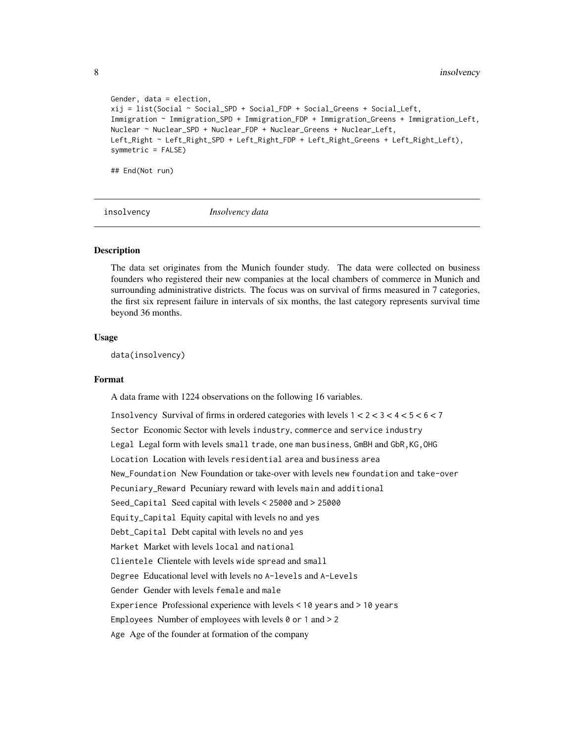```
Gender, data = election,
xij = list(Social ~ Social_SPD + Social_FDP + Social_Greens + Social_Left,
Immigration ~ Immigration_SPD + Immigration_FDP + Immigration_Greens + Immigration_Left,
Nuclear ~ Nuclear_SPD + Nuclear_FDP + Nuclear_Greens + Nuclear_Left,
Left_Right ~ Left_Right_SPD + Left_Right_FDP + Left_Right_Greens + Left_Right_Left),
symmetric = FALSE)
## End(Not run)
```
insolvency *Insolvency data*

## Description

The data set originates from the Munich founder study. The data were collected on business founders who registered their new companies at the local chambers of commerce in Munich and surrounding administrative districts. The focus was on survival of firms measured in 7 categories, the first six represent failure in intervals of six months, the last category represents survival time beyond 36 months.

#### Usage

data(insolvency)

#### Format

A data frame with 1224 observations on the following 16 variables.

Insolvency Survival of firms in ordered categories with levels  $1 < 2 < 3 < 4 < 5 < 6 < 7$ Sector Economic Sector with levels industry, commerce and service industry Legal Legal form with levels small trade, one man business, GmBH and GbR,KG,OHG Location Location with levels residential area and business area New\_Foundation New Foundation or take-over with levels new foundation and take-over Pecuniary\_Reward Pecuniary reward with levels main and additional Seed\_Capital Seed capital with levels < 25000 and > 25000 Equity\_Capital Equity capital with levels no and yes Debt\_Capital Debt capital with levels no and yes Market Market with levels local and national Clientele Clientele with levels wide spread and small Degree Educational level with levels no A-levels and A-Levels Gender Gender with levels female and male Experience Professional experience with levels < 10 years and > 10 years Employees Number of employees with levels  $0$  or 1 and  $> 2$ Age Age of the founder at formation of the company

<span id="page-7-0"></span>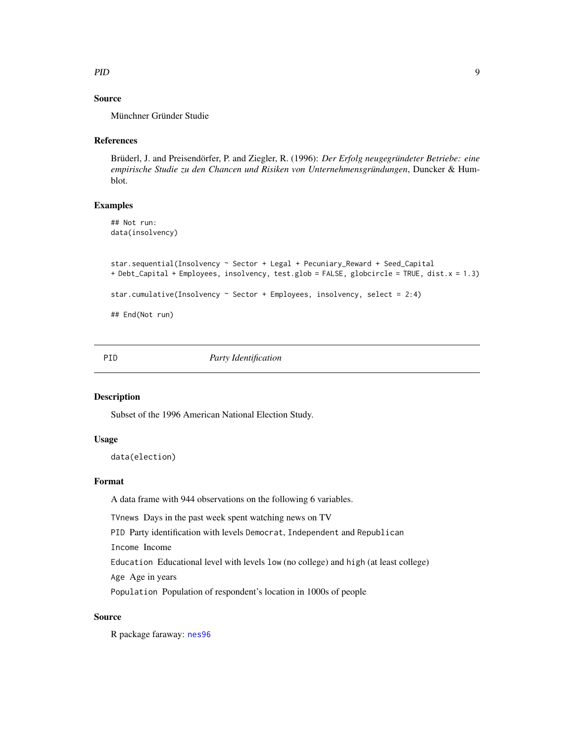## <span id="page-8-0"></span>PID 9

## Source

Münchner Gründer Studie

#### References

Brüderl, J. and Preisendörfer, P. and Ziegler, R. (1996): *Der Erfolg neugegründeter Betriebe: eine empirische Studie zu den Chancen und Risiken von Unternehmensgründungen*, Duncker & Humblot.

## Examples

## Not run: data(insolvency)

```
star.sequential(Insolvency ~ Sector + Legal + Pecuniary_Reward + Seed_Capital
+ Debt_Capital + Employees, insolvency, test.glob = FALSE, globcircle = TRUE, dist.x = 1.3)
star.cumulative(Insolvency ~ Sector + Employees, insolvency, select = 2:4)
```
## End(Not run)

PID *Party Identification*

## Description

Subset of the 1996 American National Election Study.

## Usage

data(election)

#### Format

A data frame with 944 observations on the following 6 variables.

TVnews Days in the past week spent watching news on TV

PID Party identification with levels Democrat, Independent and Republican

Income Income

Education Educational level with levels low (no college) and high (at least college)

Age Age in years

Population Population of respondent's location in 1000s of people

## Source

R package faraway: [nes96](#page-0-0)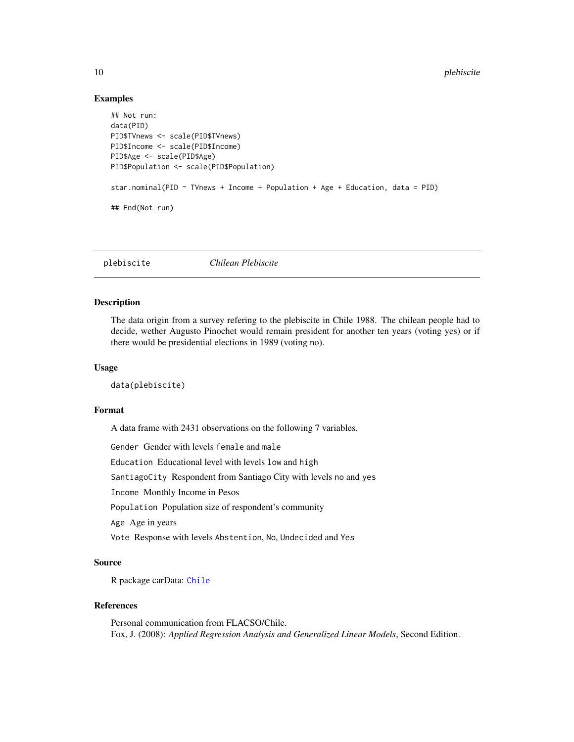## Examples

```
## Not run:
data(PID)
PID$TVnews <- scale(PID$TVnews)
PID$Income <- scale(PID$Income)
PID$Age <- scale(PID$Age)
PID$Population <- scale(PID$Population)
star.nominal(PID \sim TVnews + Income + Population + Age + Education, data = PID)
## End(Not run)
```
plebiscite *Chilean Plebiscite*

## Description

The data origin from a survey refering to the plebiscite in Chile 1988. The chilean people had to decide, wether Augusto Pinochet would remain president for another ten years (voting yes) or if there would be presidential elections in 1989 (voting no).

#### Usage

data(plebiscite)

#### Format

A data frame with 2431 observations on the following 7 variables.

Gender Gender with levels female and male

Education Educational level with levels low and high

SantiagoCity Respondent from Santiago City with levels no and yes

Income Monthly Income in Pesos

Population Population size of respondent's community

Age Age in years

Vote Response with levels Abstention, No, Undecided and Yes

## Source

R package carData: [Chile](#page-0-0)

## References

Personal communication from FLACSO/Chile. Fox, J. (2008): *Applied Regression Analysis and Generalized Linear Models*, Second Edition.

<span id="page-9-0"></span>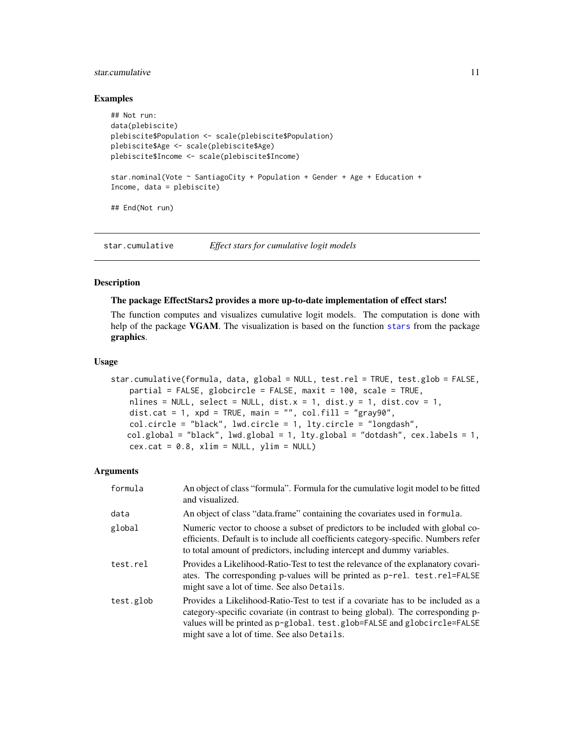## <span id="page-10-0"></span>star.cumulative 11

## Examples

```
## Not run:
data(plebiscite)
plebiscite$Population <- scale(plebiscite$Population)
plebiscite$Age <- scale(plebiscite$Age)
plebiscite$Income <- scale(plebiscite$Income)
star.nominal(Vote \sim SantiagoCity + Population + Gender + Age + Education +
Income, data = plebiscite)
## End(Not run)
```
<span id="page-10-1"></span>star.cumulative *Effect stars for cumulative logit models*

## Description

#### The package EffectStars2 provides a more up-to-date implementation of effect stars!

The function computes and visualizes cumulative logit models. The computation is done with help of the package VGAM. The visualization is based on the function [stars](#page-0-0) from the package graphics.

## Usage

```
star.cumulative(formula, data, global = NULL, test.rel = TRUE, test.glob = FALSE,
   partial = FALSE, globcircle = FALSE, maxit = 100, scale = TRUE,
   nlines = NULL, select = NULL, dist.x = 1, dist.y = 1, dist.cov = 1,
   dist.cat = 1, xpd = TRUE, main = "", col.fill = "gray90",
   col.circle = "black", lwd.circle = 1, lty.circle = "longdash",
   col.global = "black", lwd.global = 1, lty.global = "dotdash", cex.labels = 1,
   cex.cat = 0.8, xlim = NULL, ylim = NULL
```
#### Arguments

| formula   | An object of class "formula". Formula for the cumulative logit model to be fitted<br>and visualized.                                                                                                                                                                                          |
|-----------|-----------------------------------------------------------------------------------------------------------------------------------------------------------------------------------------------------------------------------------------------------------------------------------------------|
| data      | An object of class "data.frame" containing the covariates used in formula.                                                                                                                                                                                                                    |
| global    | Numeric vector to choose a subset of predictors to be included with global co-<br>efficients. Default is to include all coefficients category-specific. Numbers refer<br>to total amount of predictors, including intercept and dummy variables.                                              |
| test.rel  | Provides a Likelihood-Ratio-Test to test the relevance of the explanatory covari-<br>ates. The corresponding p-values will be printed as p-rel. test.rel=FALSE<br>might save a lot of time. See also Details.                                                                                 |
| test.glob | Provides a Likelihood-Ratio-Test to test if a covariate has to be included as a<br>category-specific covariate (in contrast to being global). The corresponding p-<br>values will be printed as p-global. test.glob=FALSE and globcircle=FALSE<br>might save a lot of time. See also Details. |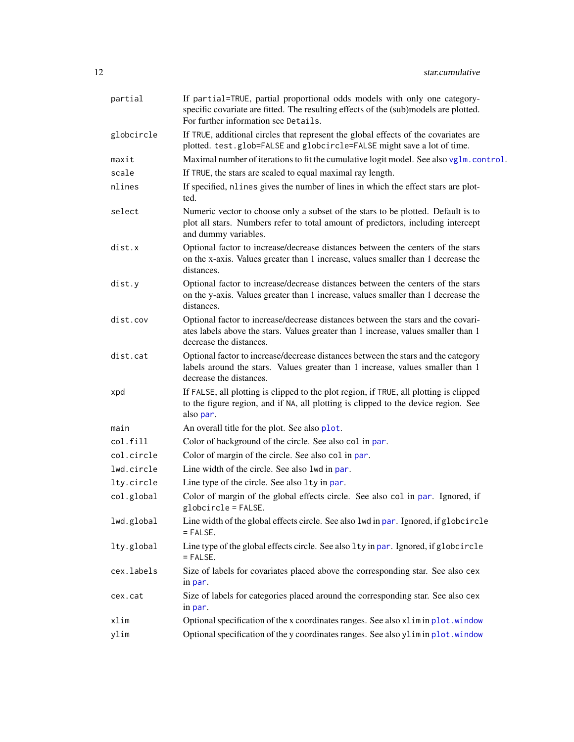<span id="page-11-0"></span>

| partial    | If partial=TRUE, partial proportional odds models with only one category-<br>specific covariate are fitted. The resulting effects of the (sub)models are plotted.<br>For further information see Details. |
|------------|-----------------------------------------------------------------------------------------------------------------------------------------------------------------------------------------------------------|
| globcircle | If TRUE, additional circles that represent the global effects of the covariates are<br>plotted. test.glob=FALSE and globcircle=FALSE might save a lot of time.                                            |
| maxit      | Maximal number of iterations to fit the cumulative logit model. See also vglm.control.                                                                                                                    |
| scale      | If TRUE, the stars are scaled to equal maximal ray length.                                                                                                                                                |
| nlines     | If specified, nlines gives the number of lines in which the effect stars are plot-<br>ted.                                                                                                                |
| select     | Numeric vector to choose only a subset of the stars to be plotted. Default is to<br>plot all stars. Numbers refer to total amount of predictors, including intercept<br>and dummy variables.              |
| dist.x     | Optional factor to increase/decrease distances between the centers of the stars<br>on the x-axis. Values greater than 1 increase, values smaller than 1 decrease the<br>distances.                        |
| dist.y     | Optional factor to increase/decrease distances between the centers of the stars<br>on the y-axis. Values greater than 1 increase, values smaller than 1 decrease the<br>distances.                        |
| dist.cov   | Optional factor to increase/decrease distances between the stars and the covari-<br>ates labels above the stars. Values greater than 1 increase, values smaller than 1<br>decrease the distances.         |
| dist.cat   | Optional factor to increase/decrease distances between the stars and the category<br>labels around the stars. Values greater than 1 increase, values smaller than 1<br>decrease the distances.            |
| xpd        | If FALSE, all plotting is clipped to the plot region, if TRUE, all plotting is clipped<br>to the figure region, and if NA, all plotting is clipped to the device region. See<br>also par.                 |
| main       | An overall title for the plot. See also plot.                                                                                                                                                             |
| col.fill   | Color of background of the circle. See also col in par.                                                                                                                                                   |
| col.circle | Color of margin of the circle. See also col in par.                                                                                                                                                       |
| lwd.circle | Line width of the circle. See also lwd in par.                                                                                                                                                            |
| lty.circle | Line type of the circle. See also 1ty in par.                                                                                                                                                             |
| col.global | Color of margin of the global effects circle. See also col in par. Ignored, if<br>$globcircle = FALSE.$                                                                                                   |
| lwd.global | Line width of the global effects circle. See also lwd in par. Ignored, if globcircle<br>$=$ FALSE.                                                                                                        |
| lty.global | Line type of the global effects circle. See also lty in par. Ignored, if globcircle<br>$=$ FALSE.                                                                                                         |
| cex.labels | Size of labels for covariates placed above the corresponding star. See also cex<br>in par.                                                                                                                |
| cex.cat    | Size of labels for categories placed around the corresponding star. See also cex<br>in par.                                                                                                               |
| xlim       | Optional specification of the x coordinates ranges. See also xlimin plot.window                                                                                                                           |
| ylim       | Optional specification of the y coordinates ranges. See also ylimin plot.window                                                                                                                           |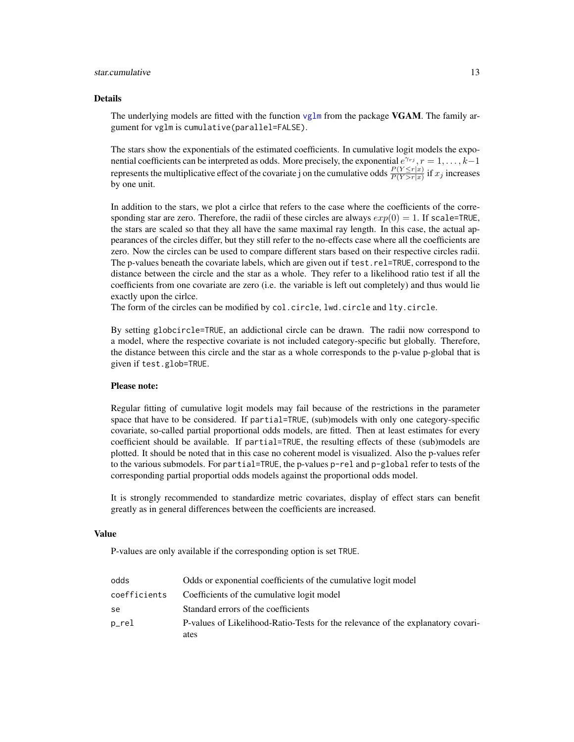#### <span id="page-12-0"></span>star.cumulative 13

#### Details

The underlying models are fitted with the function [vglm](#page-0-0) from the package **VGAM**. The family argument for vglm is cumulative(parallel=FALSE).

The stars show the exponentials of the estimated coefficients. In cumulative logit models the exponential coefficients can be interpreted as odds. More precisely, the exponential  $e^{\gamma r_j}$ ,  $r = 1, \ldots, k-1$ represents the multiplicative effect of the covariate j on the cumulative odds  $\frac{P(Y \le r|x)}{P(Y>r|x)}$  if  $x_j$  increases by one unit.

In addition to the stars, we plot a cirlce that refers to the case where the coefficients of the corresponding star are zero. Therefore, the radii of these circles are always  $exp(0) = 1$ . If scale=TRUE, the stars are scaled so that they all have the same maximal ray length. In this case, the actual appearances of the circles differ, but they still refer to the no-effects case where all the coefficients are zero. Now the circles can be used to compare different stars based on their respective circles radii. The p-values beneath the covariate labels, which are given out if test.rel=TRUE, correspond to the distance between the circle and the star as a whole. They refer to a likelihood ratio test if all the coefficients from one covariate are zero (i.e. the variable is left out completely) and thus would lie exactly upon the cirlce.

The form of the circles can be modified by col.circle, lwd.circle and lty.circle.

By setting globcircle=TRUE, an addictional circle can be drawn. The radii now correspond to a model, where the respective covariate is not included category-specific but globally. Therefore, the distance between this circle and the star as a whole corresponds to the p-value p-global that is given if test.glob=TRUE.

## Please note:

Regular fitting of cumulative logit models may fail because of the restrictions in the parameter space that have to be considered. If partial=TRUE, (sub)models with only one category-specific covariate, so-called partial proportional odds models, are fitted. Then at least estimates for every coefficient should be available. If partial=TRUE, the resulting effects of these (sub)models are plotted. It should be noted that in this case no coherent model is visualized. Also the p-values refer to the various submodels. For partial=TRUE, the p-values p-rel and p-global refer to tests of the corresponding partial proportial odds models against the proportional odds model.

It is strongly recommended to standardize metric covariates, display of effect stars can benefit greatly as in general differences between the coefficients are increased.

#### Value

P-values are only available if the corresponding option is set TRUE.

| odds         | Odds or exponential coefficients of the cumulative logit model                  |
|--------------|---------------------------------------------------------------------------------|
| coefficients | Coefficients of the cumulative logit model                                      |
| se           | Standard errors of the coefficients                                             |
| p_rel        | P-values of Likelihood-Ratio-Tests for the relevance of the explanatory covari- |
|              | ates                                                                            |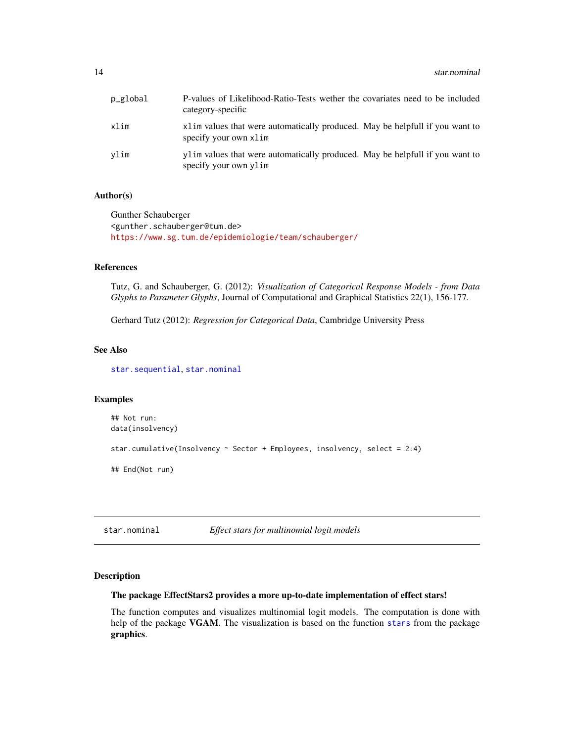<span id="page-13-0"></span>

| p_global | P-values of Likelihood-Ratio-Tests wether the covariates need to be included<br>category-specific      |
|----------|--------------------------------------------------------------------------------------------------------|
| xlim     | x1 im values that were automatically produced. May be helpfull if you want to<br>specify your own xlim |
| vlim     | ylim values that were automatically produced. May be helpfull if you want to<br>specify your own ylim  |

## Author(s)

Gunther Schauberger <gunther.schauberger@tum.de> <https://www.sg.tum.de/epidemiologie/team/schauberger/>

## References

Tutz, G. and Schauberger, G. (2012): *Visualization of Categorical Response Models - from Data Glyphs to Parameter Glyphs*, Journal of Computational and Graphical Statistics 22(1), 156-177.

Gerhard Tutz (2012): *Regression for Categorical Data*, Cambridge University Press

## See Also

[star.sequential](#page-18-1), [star.nominal](#page-13-1)

## Examples

```
## Not run:
data(insolvency)
star.cumulative(Insolvency ~ Sector + Employees, insolvency, select = 2:4)
## End(Not run)
```
## <span id="page-13-1"></span>star.nominal *Effect stars for multinomial logit models*

#### Description

#### The package EffectStars2 provides a more up-to-date implementation of effect stars!

The function computes and visualizes multinomial logit models. The computation is done with help of the package VGAM. The visualization is based on the function [stars](#page-0-0) from the package graphics.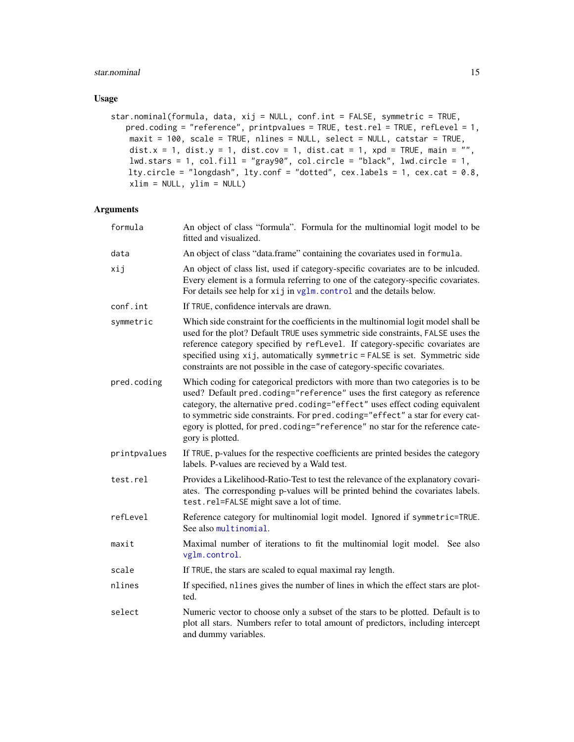## <span id="page-14-0"></span>star.nominal 15

## Usage

```
star.nominal(formula, data, xij = NULL, conf.int = FALSE, symmetric = TRUE,
   pred.coding = "reference", printpvalues = TRUE, test.rel = TRUE, refLevel = 1,
   maxit = 100, scale = TRUE, nlines = NULL, select = NULL, catstar = TRUE,
   dist.x = 1, dist.y = 1, dist.cov = 1, dist.cat = 1, xpd = TRUE, main = ",
   lwd.stars = 1, col.fill = "gray90", col.circle = "black", lwd.circle = 1,
   lty.circle = "longdash", lty.conf = "dotted", cex.labels = 1, cex.cat = 0.8,
   xlim = NULL, ylim = NULL)
```
## Arguments

| formula      | An object of class "formula". Formula for the multinomial logit model to be<br>fitted and visualized.                                                                                                                                                                                                                                                                                                                              |
|--------------|------------------------------------------------------------------------------------------------------------------------------------------------------------------------------------------------------------------------------------------------------------------------------------------------------------------------------------------------------------------------------------------------------------------------------------|
| data         | An object of class "data.frame" containing the covariates used in formula.                                                                                                                                                                                                                                                                                                                                                         |
| xij          | An object of class list, used if category-specific covariates are to be inlcuded.<br>Every element is a formula referring to one of the category-specific covariates.<br>For details see help for xij in vglm. control and the details below.                                                                                                                                                                                      |
| conf.int     | If TRUE, confidence intervals are drawn.                                                                                                                                                                                                                                                                                                                                                                                           |
| symmetric    | Which side constraint for the coefficients in the multinomial logit model shall be<br>used for the plot? Default TRUE uses symmetric side constraints, FALSE uses the<br>reference category specified by refLevel. If category-specific covariates are<br>specified using xij, automatically symmetric = FALSE is set. Symmetric side<br>constraints are not possible in the case of category-specific covariates.                 |
| pred.coding  | Which coding for categorical predictors with more than two categories is to be<br>used? Default pred.coding="reference" uses the first category as reference<br>category, the alternative pred.coding="effect" uses effect coding equivalent<br>to symmetric side constraints. For pred.coding="effect" a star for every cat-<br>egory is plotted, for pred.coding="reference" no star for the reference cate-<br>gory is plotted. |
| printpvalues | If TRUE, p-values for the respective coefficients are printed besides the category<br>labels. P-values are recieved by a Wald test.                                                                                                                                                                                                                                                                                                |
| test.rel     | Provides a Likelihood-Ratio-Test to test the relevance of the explanatory covari-<br>ates. The corresponding p-values will be printed behind the covariates labels.<br>test.rel=FALSE might save a lot of time.                                                                                                                                                                                                                    |
| refLevel     | Reference category for multinomial logit model. Ignored if symmetric=TRUE.<br>See also multinomial.                                                                                                                                                                                                                                                                                                                                |
| maxit        | Maximal number of iterations to fit the multinomial logit model.<br>See also<br>vglm.control.                                                                                                                                                                                                                                                                                                                                      |
| scale        | If TRUE, the stars are scaled to equal maximal ray length.                                                                                                                                                                                                                                                                                                                                                                         |
| nlines       | If specified, nlines gives the number of lines in which the effect stars are plot-<br>ted.                                                                                                                                                                                                                                                                                                                                         |
| select       | Numeric vector to choose only a subset of the stars to be plotted. Default is to<br>plot all stars. Numbers refer to total amount of predictors, including intercept<br>and dummy variables.                                                                                                                                                                                                                                       |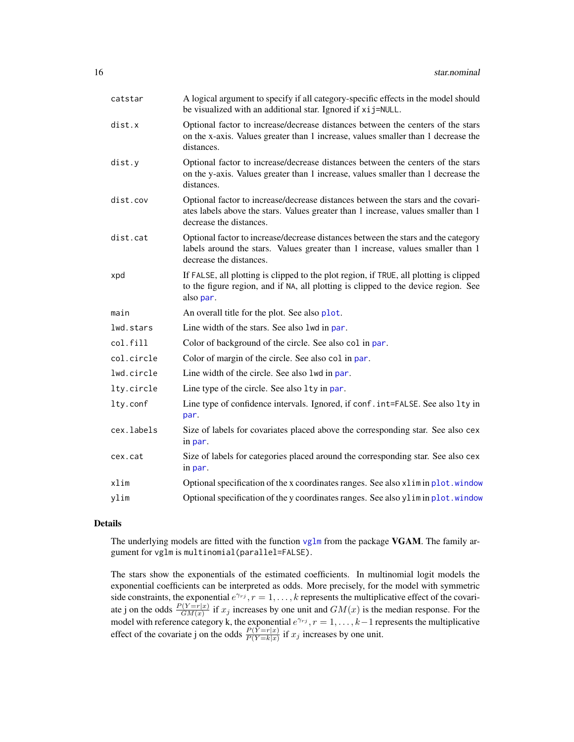<span id="page-15-0"></span>

| catstar    | A logical argument to specify if all category-specific effects in the model should<br>be visualized with an additional star. Ignored if xij=NULL.                                                 |
|------------|---------------------------------------------------------------------------------------------------------------------------------------------------------------------------------------------------|
| dist.x     | Optional factor to increase/decrease distances between the centers of the stars<br>on the x-axis. Values greater than 1 increase, values smaller than 1 decrease the<br>distances.                |
| dist.y     | Optional factor to increase/decrease distances between the centers of the stars<br>on the y-axis. Values greater than 1 increase, values smaller than 1 decrease the<br>distances.                |
| dist.cov   | Optional factor to increase/decrease distances between the stars and the covari-<br>ates labels above the stars. Values greater than 1 increase, values smaller than 1<br>decrease the distances. |
| dist.cat   | Optional factor to increase/decrease distances between the stars and the category<br>labels around the stars. Values greater than 1 increase, values smaller than 1<br>decrease the distances.    |
| xpd        | If FALSE, all plotting is clipped to the plot region, if TRUE, all plotting is clipped<br>to the figure region, and if NA, all plotting is clipped to the device region. See<br>also par.         |
| main       | An overall title for the plot. See also plot.                                                                                                                                                     |
| lwd.stars  | Line width of the stars. See also lwd in par.                                                                                                                                                     |
| col.fill   | Color of background of the circle. See also col in par.                                                                                                                                           |
| col.circle | Color of margin of the circle. See also col in par.                                                                                                                                               |
| lwd.circle | Line width of the circle. See also 1wd in par.                                                                                                                                                    |
| lty.circle | Line type of the circle. See also 1ty in par.                                                                                                                                                     |
| lty.conf   | Line type of confidence intervals. Ignored, if conf. int=FALSE. See also lty in<br>par.                                                                                                           |
| cex.labels | Size of labels for covariates placed above the corresponding star. See also cex<br>in par.                                                                                                        |
| cex.cat    | Size of labels for categories placed around the corresponding star. See also cex<br>in par.                                                                                                       |
| xlim       | Optional specification of the x coordinates ranges. See also xlimin plot. window                                                                                                                  |
| ylim       | Optional specification of the y coordinates ranges. See also ylimin plot.window                                                                                                                   |

## Details

The underlying models are fitted with the function  $vglm$  from the package VGAM. The family argument for vglm is multinomial(parallel=FALSE).

The stars show the exponentials of the estimated coefficients. In multinomial logit models the exponential coefficients can be interpreted as odds. More precisely, for the model with symmetric side constraints, the exponential  $e^{\gamma r_j}$ ,  $r = 1, \ldots, k$  represents the multiplicative effect of the covariate j on the odds  $\frac{P(Y=r|x)}{GM(x)}$  if  $x_j$  increases by one unit and  $GM(x)$  is the median response. For the model with reference category k, the exponential  $e^{\gamma r j}$ ,  $r = 1, \ldots, k-1$  represents the multiplicative effect of the covariate j on the odds  $\frac{P(Y=r|x)}{P(Y=k|x)}$  if  $x_j$  increases by one unit.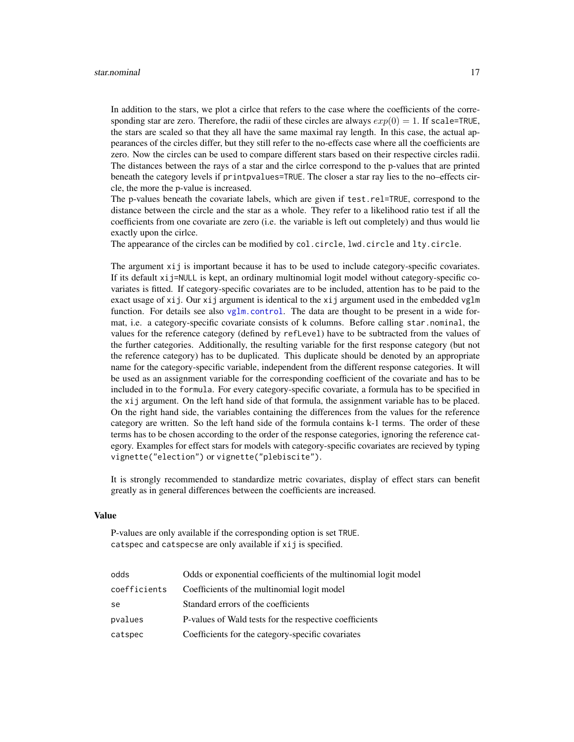<span id="page-16-0"></span>In addition to the stars, we plot a cirlce that refers to the case where the coefficients of the corresponding star are zero. Therefore, the radii of these circles are always  $exp(0) = 1$ . If scale=TRUE, the stars are scaled so that they all have the same maximal ray length. In this case, the actual appearances of the circles differ, but they still refer to the no-effects case where all the coefficients are zero. Now the circles can be used to compare different stars based on their respective circles radii. The distances between the rays of a star and the cirlce correspond to the p-values that are printed beneath the category levels if printpvalues=TRUE. The closer a star ray lies to the no–effects circle, the more the p-value is increased.

The p-values beneath the covariate labels, which are given if test.rel=TRUE, correspond to the distance between the circle and the star as a whole. They refer to a likelihood ratio test if all the coefficients from one covariate are zero (i.e. the variable is left out completely) and thus would lie exactly upon the cirlce.

The appearance of the circles can be modified by col.circle, lwd.circle and lty.circle.

The argument xij is important because it has to be used to include category-specific covariates. If its default xij=NULL is kept, an ordinary multinomial logit model without category-specific covariates is fitted. If category-specific covariates are to be included, attention has to be paid to the exact usage of xij. Our xij argument is identical to the xij argument used in the embedded vglm function. For details see also  $vglm$ , control. The data are thought to be present in a wide format, i.e. a category-specific covariate consists of k columns. Before calling star.nominal, the values for the reference category (defined by refLevel) have to be subtracted from the values of the further categories. Additionally, the resulting variable for the first response category (but not the reference category) has to be duplicated. This duplicate should be denoted by an appropriate name for the category-specific variable, independent from the different response categories. It will be used as an assignment variable for the corresponding coefficient of the covariate and has to be included in to the formula. For every category-specific covariate, a formula has to be specified in the xij argument. On the left hand side of that formula, the assignment variable has to be placed. On the right hand side, the variables containing the differences from the values for the reference category are written. So the left hand side of the formula contains k-1 terms. The order of these terms has to be chosen according to the order of the response categories, ignoring the reference category. Examples for effect stars for models with category-specific covariates are recieved by typing vignette("election") or vignette("plebiscite").

It is strongly recommended to standardize metric covariates, display of effect stars can benefit greatly as in general differences between the coefficients are increased.

## Value

P-values are only available if the corresponding option is set TRUE. catspec and catspecse are only available if xij is specified.

| odds         | Odds or exponential coefficients of the multinomial logit model |
|--------------|-----------------------------------------------------------------|
| coefficients | Coefficients of the multinomial logit model                     |
| se           | Standard errors of the coefficients                             |
| pvalues      | P-values of Wald tests for the respective coefficients          |
| catspec      | Coefficients for the category-specific covariates               |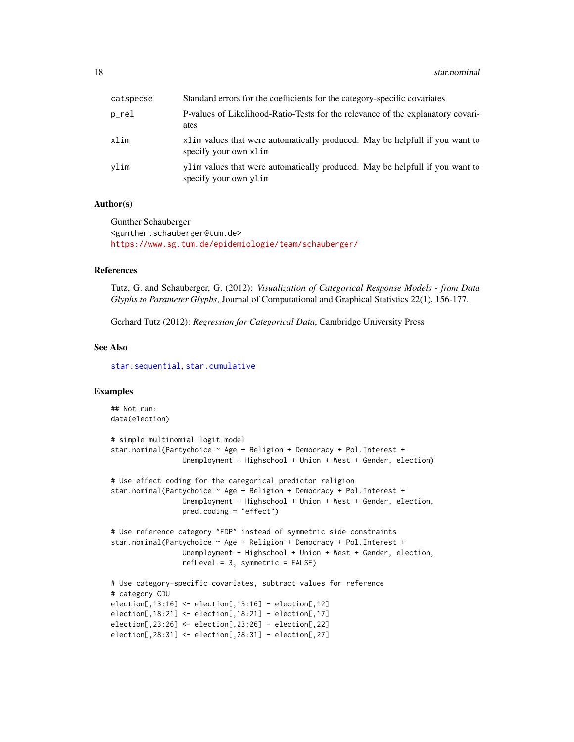<span id="page-17-0"></span>

| catspecse | Standard errors for the coefficients for the category-specific covariates                             |
|-----------|-------------------------------------------------------------------------------------------------------|
| p_rel     | P-values of Likelihood-Ratio-Tests for the relevance of the explanatory covari-<br>ates               |
| xlim      | x1im values that were automatically produced. May be helpfull if you want to<br>specify your own xlim |
| vlim      | ylim values that were automatically produced. May be helpfull if you want to<br>specify your own ylim |

## Author(s)

Gunther Schauberger <gunther.schauberger@tum.de> <https://www.sg.tum.de/epidemiologie/team/schauberger/>

## References

Tutz, G. and Schauberger, G. (2012): *Visualization of Categorical Response Models - from Data Glyphs to Parameter Glyphs*, Journal of Computational and Graphical Statistics 22(1), 156-177.

Gerhard Tutz (2012): *Regression for Categorical Data*, Cambridge University Press

## See Also

[star.sequential](#page-18-1), [star.cumulative](#page-10-1)

## Examples

```
## Not run:
data(election)
# simple multinomial logit model
star.nominal(Partychoice ~ Age + Religion + Democracy + Pol.Interest +
                 Unemployment + Highschool + Union + West + Gender, election)
# Use effect coding for the categorical predictor religion
star.nominal(Partychoice ~ Age + Religion + Democracy + Pol.Interest +
                 Unemployment + Highschool + Union + West + Gender, election,
                 pred.coding = "effect")
# Use reference category "FDP" instead of symmetric side constraints
star.nominal(Partychoice ~ Age + Religion + Democracy + Pol.Interest +
                 Unemployment + Highschool + Union + West + Gender, election,
                 refLevel = 3, symmetric = FALSE)
# Use category-specific covariates, subtract values for reference
# category CDU
election[,13:16] <- election[,13:16] - election[,12]
election[,18:21] <- election[,18:21] - election[,17]
election[,23:26] <- election[,23:26] - election[,22]
election[,28:31] <- election[,28:31] - election[,27]
```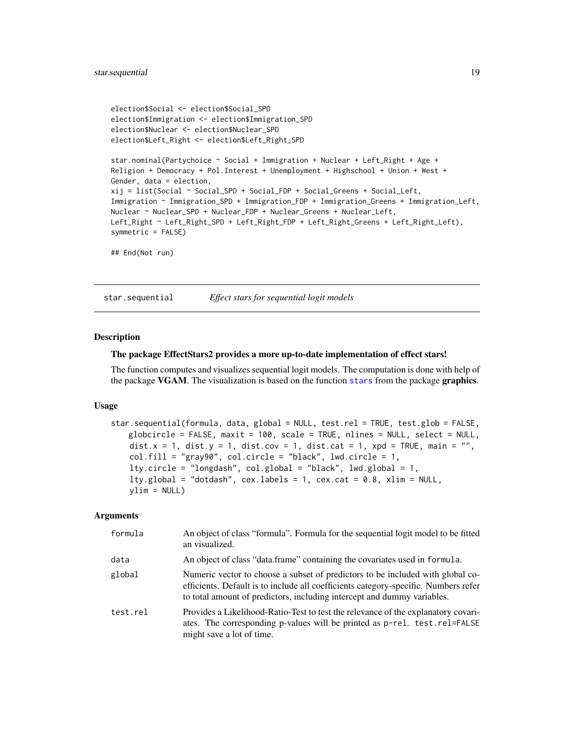```
election$Social <- election$Social_SPD
election$Immigration <- election$Immigration_SPD
election$Nuclear <- election$Nuclear_SPD
election$Left_Right <- election$Left_Right_SPD
star.nominal(Partychoice ~ Social + Immigration + Nuclear + Left_Right + Age +
Religion + Democracy + Pol.Interest + Unemployment + Highschool + Union + West +
Gender, data = election,
xij = list(Social ~ Social_SPD + Social_FDP + Social_Greens + Social_Left,
Immigration ~ Immigration_SPD + Immigration_FDP + Immigration_Greens + Immigration_Left,
Nuclear ~ Nuclear_SPD + Nuclear_FDP + Nuclear_Greens + Nuclear_Left,
Left_Right ~ Left_Right_SPD + Left_Right_FDP + Left_Right_Greens + Left_Right_Left),
symmetric = FALSE)
```
## End(Not run)

<span id="page-18-1"></span>star.sequential *Effect stars for sequential logit models*

#### Description

#### The package EffectStars2 provides a more up-to-date implementation of effect stars!

The function computes and visualizes sequential logit models. The computation is done with help of the package VGAM. The visualization is based on the function [stars](#page-0-0) from the package graphics.

#### Usage

```
star.sequential(formula, data, global = NULL, test.rel = TRUE, test.glob = FALSE,
   globcircle = FALSE, maxit = 100, scale = TRUE, nlines = NULL, select = NULL,
   dist.x = 1, dist.y = 1, dist.cov = 1, dist.cat = 1, xpd = TRUE, main = "",
   col.fill = "gray90", col.circle = "black", lwd.circle = 1,lty.circle = "longdash", col.global = "black", lwd.global = 1,
   lty.global = "dotdash", cex.labels = 1, cex.cat = 0.8, xlim = NULL,
   ylim = NULL
```
## Arguments

| formula  | An object of class "formula". Formula for the sequential logit model to be fitted<br>an visualized.                                                                                                                                              |
|----------|--------------------------------------------------------------------------------------------------------------------------------------------------------------------------------------------------------------------------------------------------|
| data     | An object of class "data.frame" containing the covariates used in formula.                                                                                                                                                                       |
| global   | Numeric vector to choose a subset of predictors to be included with global co-<br>efficients. Default is to include all coefficients category-specific. Numbers refer<br>to total amount of predictors, including intercept and dummy variables. |
| test.rel | Provides a Likelihood-Ratio-Test to test the relevance of the explanatory covari-<br>ates. The corresponding p-values will be printed as p-rel. test.rel=FALSE<br>might save a lot of time.                                                      |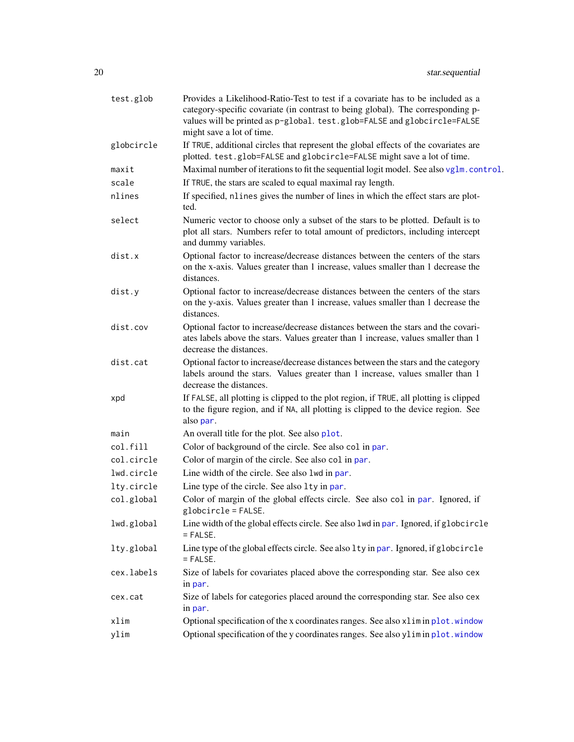<span id="page-19-0"></span>

| test.glob  | Provides a Likelihood-Ratio-Test to test if a covariate has to be included as a<br>category-specific covariate (in contrast to being global). The corresponding p-<br>values will be printed as p-global. test.glob=FALSE and globcircle=FALSE<br>might save a lot of time. |
|------------|-----------------------------------------------------------------------------------------------------------------------------------------------------------------------------------------------------------------------------------------------------------------------------|
| globcircle | If TRUE, additional circles that represent the global effects of the covariates are<br>plotted. test.glob=FALSE and globcircle=FALSE might save a lot of time.                                                                                                              |
| maxit      | Maximal number of iterations to fit the sequential logit model. See also vglm.control.                                                                                                                                                                                      |
| scale      | If TRUE, the stars are scaled to equal maximal ray length.                                                                                                                                                                                                                  |
| nlines     | If specified, nlines gives the number of lines in which the effect stars are plot-<br>ted.                                                                                                                                                                                  |
| select     | Numeric vector to choose only a subset of the stars to be plotted. Default is to<br>plot all stars. Numbers refer to total amount of predictors, including intercept<br>and dummy variables.                                                                                |
| dist.x     | Optional factor to increase/decrease distances between the centers of the stars<br>on the x-axis. Values greater than 1 increase, values smaller than 1 decrease the<br>distances.                                                                                          |
| dist.y     | Optional factor to increase/decrease distances between the centers of the stars<br>on the y-axis. Values greater than 1 increase, values smaller than 1 decrease the<br>distances.                                                                                          |
| dist.cov   | Optional factor to increase/decrease distances between the stars and the covari-<br>ates labels above the stars. Values greater than 1 increase, values smaller than 1<br>decrease the distances.                                                                           |
| dist.cat   | Optional factor to increase/decrease distances between the stars and the category<br>labels around the stars. Values greater than 1 increase, values smaller than 1<br>decrease the distances.                                                                              |
| xpd        | If FALSE, all plotting is clipped to the plot region, if TRUE, all plotting is clipped<br>to the figure region, and if NA, all plotting is clipped to the device region. See<br>also par.                                                                                   |
| main       | An overall title for the plot. See also plot.                                                                                                                                                                                                                               |
| col.fill   | Color of background of the circle. See also col in par.                                                                                                                                                                                                                     |
| col.circle | Color of margin of the circle. See also col in par.                                                                                                                                                                                                                         |
| lwd.circle | Line width of the circle. See also lwd in par.                                                                                                                                                                                                                              |
| lty.circle | Line type of the circle. See also 1ty in par.                                                                                                                                                                                                                               |
| col.global | Color of margin of the global effects circle. See also col in par. Ignored, if<br>$globcircle = FALSE.$                                                                                                                                                                     |
| lwd.global | Line width of the global effects circle. See also lwd in par. Ignored, if globcircle<br>$=$ FALSE.                                                                                                                                                                          |
| lty.global | Line type of the global effects circle. See also 1ty in par. Ignored, if globcircle<br>$=$ FALSE.                                                                                                                                                                           |
| cex.labels | Size of labels for covariates placed above the corresponding star. See also cex<br>in par.                                                                                                                                                                                  |
| cex.cat    | Size of labels for categories placed around the corresponding star. See also cex<br>in par.                                                                                                                                                                                 |
| xlim       | Optional specification of the x coordinates ranges. See also xlimin plot. window                                                                                                                                                                                            |
| ylim       | Optional specification of the y coordinates ranges. See also ylimin plot.window                                                                                                                                                                                             |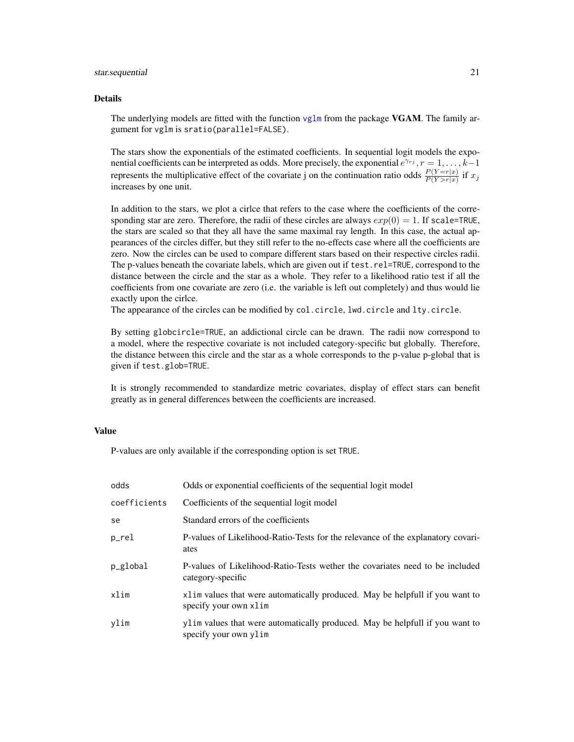#### <span id="page-20-0"></span>star.sequential 21

#### Details

The underlying models are fitted with the function [vglm](#page-0-0) from the package  $VGAM$ . The family argument for vglm is sratio(parallel=FALSE).

The stars show the exponentials of the estimated coefficients. In sequential logit models the exponential coefficients can be interpreted as odds. More precisely, the exponential  $e^{\gamma_{rj}}$ ,  $r = 1, \ldots, k-1$ represents the multiplicative effect of the covariate j on the continuation ratio odds  $\frac{P(Y=r|x)}{P(Y>r|x)}$  if  $x_j$ increases by one unit.

In addition to the stars, we plot a cirlce that refers to the case where the coefficients of the corresponding star are zero. Therefore, the radii of these circles are always  $exp(0) = 1$ . If scale=TRUE, the stars are scaled so that they all have the same maximal ray length. In this case, the actual appearances of the circles differ, but they still refer to the no-effects case where all the coefficients are zero. Now the circles can be used to compare different stars based on their respective circles radii. The p-values beneath the covariate labels, which are given out if test.rel=TRUE, correspond to the distance between the circle and the star as a whole. They refer to a likelihood ratio test if all the coefficients from one covariate are zero (i.e. the variable is left out completely) and thus would lie exactly upon the cirlce.

The appearance of the circles can be modified by col.circle, lwd.circle and lty.circle.

By setting globcircle=TRUE, an addictional circle can be drawn. The radii now correspond to a model, where the respective covariate is not included category-specific but globally. Therefore, the distance between this circle and the star as a whole corresponds to the p-value p-global that is given if test.glob=TRUE.

It is strongly recommended to standardize metric covariates, display of effect stars can benefit greatly as in general differences between the coefficients are increased.

## Value

P-values are only available if the corresponding option is set TRUE.

| odds         | Odds or exponential coefficients of the sequential logit model                                         |
|--------------|--------------------------------------------------------------------------------------------------------|
| coefficients | Coefficients of the sequential logit model                                                             |
| se           | Standard errors of the coefficients                                                                    |
| p_rel        | P-values of Likelihood-Ratio-Tests for the relevance of the explanatory covari-<br>ates                |
| p_global     | P-values of Likelihood-Ratio-Tests wether the covariates need to be included<br>category-specific      |
| xlim         | x1 im values that were automatically produced. May be helpfull if you want to<br>specify your own xlim |
| vlim         | ylim values that were automatically produced. May be helpfull if you want to<br>specify your own ylim  |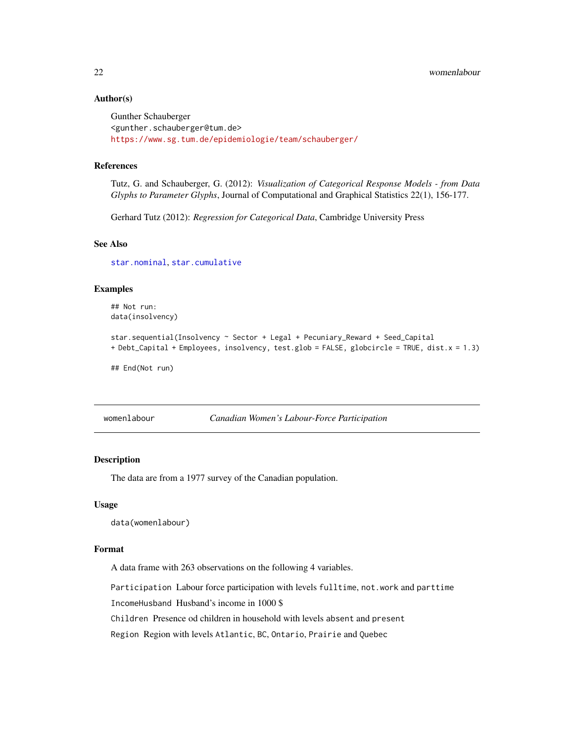## <span id="page-21-0"></span>Author(s)

```
Gunther Schauberger
<gunther.schauberger@tum.de>
https://www.sg.tum.de/epidemiologie/team/schauberger/
```
#### References

Tutz, G. and Schauberger, G. (2012): *Visualization of Categorical Response Models - from Data Glyphs to Parameter Glyphs*, Journal of Computational and Graphical Statistics 22(1), 156-177.

Gerhard Tutz (2012): *Regression for Categorical Data*, Cambridge University Press

## See Also

[star.nominal](#page-13-1), [star.cumulative](#page-10-1)

## Examples

```
## Not run:
data(insolvency)
star.sequential(Insolvency ~ Sector + Legal + Pecuniary_Reward + Seed_Capital
+ Debt_Capital + Employees, insolvency, test.glob = FALSE, globcircle = TRUE, dist.x = 1.3)
```
## End(Not run)

womenlabour *Canadian Women's Labour-Force Participation*

## **Description**

The data are from a 1977 survey of the Canadian population.

#### Usage

data(womenlabour)

#### Format

A data frame with 263 observations on the following 4 variables.

Participation Labour force participation with levels fulltime, not.work and parttime

IncomeHusband Husband's income in 1000 \$

Children Presence od children in household with levels absent and present

Region Region with levels Atlantic, BC, Ontario, Prairie and Quebec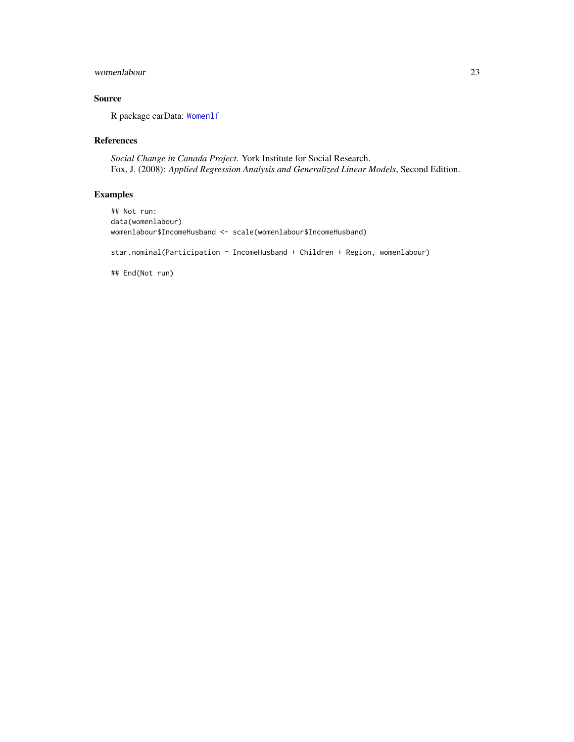## <span id="page-22-0"></span>womenlabour 23

## Source

R package carData: [Womenlf](#page-0-0)

## References

*Social Change in Canada Project*. York Institute for Social Research. Fox, J. (2008): *Applied Regression Analysis and Generalized Linear Models*, Second Edition.

## Examples

```
## Not run:
data(womenlabour)
womenlabour$IncomeHusband <- scale(womenlabour$IncomeHusband)
star.nominal(Participation ~ IncomeHusband + Children + Region, womenlabour)
## End(Not run)
```